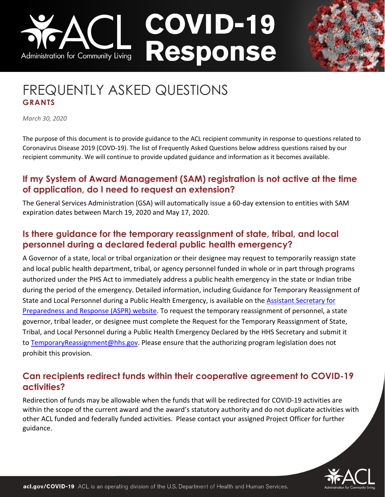# **COVID-19** Response Administration for Community Living

# FREQUENTLY ASKED QUESTIONS **GRANTS**

*March 30, 2020*

The purpose of this document is to provide guidance to the ACL recipient community in response to questions related to Coronavirus Disease 2019 (COVD-19). The list of Frequently Asked Questions below address questions raised by our recipient community. We will continue to provide updated guidance and information as it becomes available.

## **If my System of Award Management (SAM) registration is not active at the time of application, do I need to request an extension?**

The General Services Administration (GSA) will automatically issue a 60-day extension to entities with SAM expiration dates between March 19, 2020 and May 17, 2020.

# **Is there guidance for the temporary reassignment of state, tribal, and local personnel during a declared federal public health emergency?**

A Governor of a state, local or tribal organization or their designee may request to temporarily reassign state and local public health department, tribal, or agency personnel funded in whole or in part through programs authorized under the PHS Act to immediately address a public health emergency in the state or Indian tribe during the period of the emergency. Detailed information, including Guidance for Temporary Reassignment of State and Local Personnel during a Public Health Emergency, is available on the Assistant [Secretary](https://protect2.fireeye.com/url?k=bacb5e08-e69e571b-bacb6f37-0cc47adb5650-b97f3390a88218a2&u=https://www.phe.gov/Preparedness/legal/pahpa/section201/Pages/default.aspx) for Preparedness and [Response \(ASPR\) website.](https://protect2.fireeye.com/url?k=bacb5e08-e69e571b-bacb6f37-0cc47adb5650-b97f3390a88218a2&u=https://www.phe.gov/Preparedness/legal/pahpa/section201/Pages/default.aspx) To request the temporary reassignment of personnel, a state governor, tribal leader, or designee must complete the Request for the Temporary Reassignment of State, Tribal, and Local Personnel during a Public Health Emergency Declared by the HHS Secretary and submit it to [TemporaryReassignment@hhs.gov.](mailto:TemporaryReassignment@hhs.gov) Please ensure that the authorizing program legislation does not prohibit this provision.

## **Can recipients redirect funds within their cooperative agreement to COVID-19 activities?**

Redirection of funds may be allowable when the funds that will be redirected for COVID-19 activities are within the scope of the current award and the award's statutory authority and do not duplicate activities with other ACL funded and federally funded activities. Please contact your assigned Project Officer for further guidance.

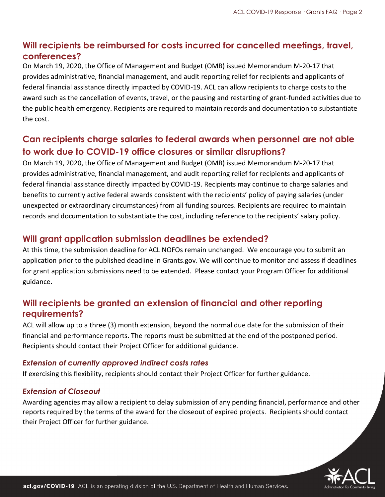# **Will recipients be reimbursed for costs incurred for cancelled meetings, travel, conferences?**

On March 19, 2020, the Office of Management and Budget (OMB) issued Memorandum [M-20-17](https://www.whitehouse.gov/wp-content/uploads/2020/03/M-20-17.pdf) that provides administrative, financial management, and audit reporting relief for recipients and applicants of federal financial assistance directly impacted by COVID-19. ACL can allow recipients to charge costs to the award such as the cancellation of events, travel, or the pausing and restarting of grant-funded activities due to the public health emergency. Recipients are required to maintain records and documentation to substantiate the cost.

# **Can recipients charge salaries to federal awards when personnel are not able to work due to COVID-19 office closures or similar disruptions?**

On March 19, 2020, the Office of Management and Budget (OMB) issued Memorandum [M-20-17](https://www.whitehouse.gov/wp-content/uploads/2020/03/M-20-17.pdf) that provides administrative, financial management, and audit reporting relief for recipients and applicants of federal financial assistance directly impacted by COVID-19. Recipients may continue to charge salaries and benefits to currently active federal awards consistent with the recipients' policy of paying salaries (under unexpected or extraordinary circumstances) from all funding sources. Recipients are required to maintain records and documentation to substantiate the cost, including reference to the recipients' salary policy.

#### **Will grant application submission deadlines be extended?**

At this time, the submission deadline for ACL NOFOs remain unchanged. We encourage you to submit an application prior to the published deadline in Grants.gov. We will continue to monitor and assess if deadlines for grant application submissions need to be extended. Please contact your Program Officer for additional guidance.

# **Will recipients be granted an extension of financial and other reporting requirements?**

ACL will allow up to a three (3) month extension, beyond the normal due date for the submission of their financial and performance reports. The reports must be submitted at the end of the postponed period. Recipients should contact their Project Officer for additional guidance.

#### *Extension of currently approved indirect costs rates*

If exercising this flexibility, recipients should contact their Project Officer for further guidance.

#### *Extension of Closeout*

Awarding agencies may allow a recipient to delay submission of any pending financial, performance and other reports required by the terms of the award for the closeout of expired projects. Recipients should contact their Project Officer for further guidance.